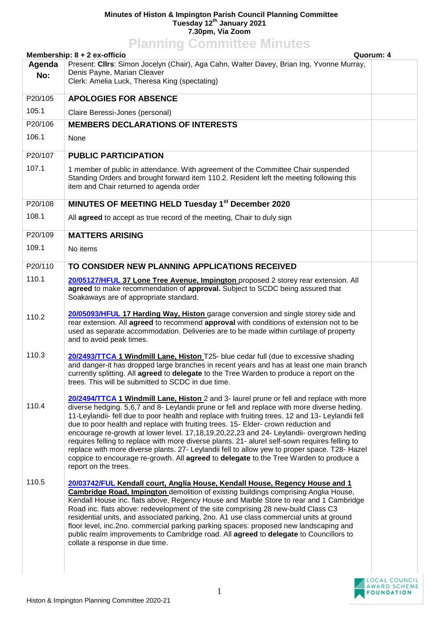## **Minutes of Histon & Impington Parish Council Planning Committee Tuesday 12th January 2021 7.30pm, Via Zoom**

|         | <b>Planning Committee Minutes</b>                                                                                                                                                                                                                                                                                                                                                                                                                                                                                                                                                                                                                                                                                                                                                                   |           |
|---------|-----------------------------------------------------------------------------------------------------------------------------------------------------------------------------------------------------------------------------------------------------------------------------------------------------------------------------------------------------------------------------------------------------------------------------------------------------------------------------------------------------------------------------------------------------------------------------------------------------------------------------------------------------------------------------------------------------------------------------------------------------------------------------------------------------|-----------|
|         | Membership: 8 + 2 ex-officio                                                                                                                                                                                                                                                                                                                                                                                                                                                                                                                                                                                                                                                                                                                                                                        | Quorum: 4 |
| Agenda  | Present: Cllrs: Simon Jocelyn (Chair), Aga Cahn, Walter Davey, Brian Ing, Yvonne Murray,                                                                                                                                                                                                                                                                                                                                                                                                                                                                                                                                                                                                                                                                                                            |           |
| No:     | Denis Payne, Marian Cleaver<br>Clerk: Amelia Luck, Theresa King (spectating)                                                                                                                                                                                                                                                                                                                                                                                                                                                                                                                                                                                                                                                                                                                        |           |
| P20/105 | <b>APOLOGIES FOR ABSENCE</b>                                                                                                                                                                                                                                                                                                                                                                                                                                                                                                                                                                                                                                                                                                                                                                        |           |
| 105.1   | Claire Beressi-Jones (personal)                                                                                                                                                                                                                                                                                                                                                                                                                                                                                                                                                                                                                                                                                                                                                                     |           |
| P20/106 | <b>MEMBERS DECLARATIONS OF INTERESTS</b>                                                                                                                                                                                                                                                                                                                                                                                                                                                                                                                                                                                                                                                                                                                                                            |           |
| 106.1   | None                                                                                                                                                                                                                                                                                                                                                                                                                                                                                                                                                                                                                                                                                                                                                                                                |           |
| P20/107 | <b>PUBLIC PARTICIPATION</b>                                                                                                                                                                                                                                                                                                                                                                                                                                                                                                                                                                                                                                                                                                                                                                         |           |
| 107.1   | 1 member of public in attendance. With agreement of the Committee Chair suspended<br>Standing Orders and brought forward item 110.2. Resident left the meeting following this<br>item and Chair returned to agenda order                                                                                                                                                                                                                                                                                                                                                                                                                                                                                                                                                                            |           |
| P20/108 | MINUTES OF MEETING HELD Tuesday 1st December 2020                                                                                                                                                                                                                                                                                                                                                                                                                                                                                                                                                                                                                                                                                                                                                   |           |
| 108.1   | All agreed to accept as true record of the meeting, Chair to duly sign                                                                                                                                                                                                                                                                                                                                                                                                                                                                                                                                                                                                                                                                                                                              |           |
| P20/109 | <b>MATTERS ARISING</b>                                                                                                                                                                                                                                                                                                                                                                                                                                                                                                                                                                                                                                                                                                                                                                              |           |
| 109.1   | No items                                                                                                                                                                                                                                                                                                                                                                                                                                                                                                                                                                                                                                                                                                                                                                                            |           |
| P20/110 | TO CONSIDER NEW PLANNING APPLICATIONS RECEIVED                                                                                                                                                                                                                                                                                                                                                                                                                                                                                                                                                                                                                                                                                                                                                      |           |
| 110.1   | 20/05127/HFUL 37 Lone Tree Avenue, Impington proposed 2 storey rear extension. All<br>agreed to make recommendation of approval. Subject to SCDC being assured that<br>Soakaways are of appropriate standard.                                                                                                                                                                                                                                                                                                                                                                                                                                                                                                                                                                                       |           |
| 110.2   | 20/05093/HFUL 17 Harding Way, Histon garage conversion and single storey side and<br>rear extension. All agreed to recommend approval with conditions of extension not to be<br>used as separate accommodation. Deliveries are to be made within curtilage of property<br>and to avoid peak times.                                                                                                                                                                                                                                                                                                                                                                                                                                                                                                  |           |
| 110.3   | 20/2493/TTCA 1 Windmill Lane, Histon T25- blue cedar full (due to excessive shading<br>and danger-it has dropped large branches in recent years and has at least one main branch<br>currently splitting. All agreed to delegate to the Tree Warden to produce a report on the<br>trees. This will be submitted to SCDC in due time.                                                                                                                                                                                                                                                                                                                                                                                                                                                                 |           |
| 110.4   | 20/2494/TTCA 1 Windmill Lane, Histon 2 and 3- laurel prune or fell and replace with more<br>diverse hedging. 5,6,7 and 8- Leylandii prune or fell and replace with more diverse heding.<br>11-Leylandii- fell due to poor health and replace with fruiting trees. 12 and 13- Leylandii fell<br>due to poor health and replace with fruiting trees. 15- Elder- crown reduction and<br>encourage re-growth at lower level. 17,18,19,20,22,23 and 24- Leylandii- overgrown heding<br>requires felling to replace with more diverse plants. 21- alurel self-sown requires felling to<br>replace with more diverse plants. 27- Leylandii fell to allow yew to proper space. T28- Hazel<br>coppice to encourage re-growth. All agreed to delegate to the Tree Warden to produce a<br>report on the trees. |           |
| 110.5   | <b>20/03742/FUL Kendall court, Anglia House, Kendall House, Regency House and 1</b><br><b>Cambridge Road, Impington</b> demolition of existing buildings comprising Anglia House,<br>Kendall House inc. flats above, Regency House and Marble Store to rear and 1 Cambridge<br>Road inc. flats above: redevelopment of the site comprising 28 new-build Class C3<br>residential units, and associated parking, 2no. A1 use class commercial units at ground<br>floor level, inc.2no. commercial parking parking spaces: proposed new landscaping and<br>public realm improvements to Cambridge road. All agreed to delegate to Councillors to<br>collate a response in due time.                                                                                                                    |           |